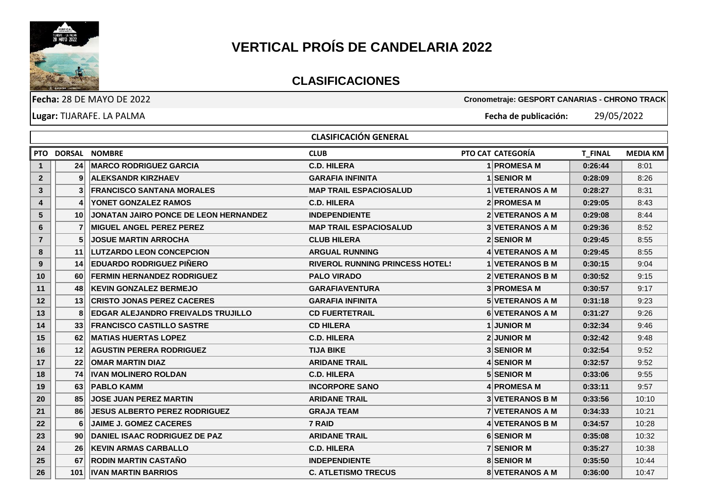

## **VERTICAL PROÍS DE CANDELARIA 2022**

## **CLASIFICACIONES**

|                |                 | <b>Fecha: 28 DE MAYO DE 2022</b>          |                                        | Cronometraje: GESPORT CANARIAS - CHRONO TRACK |                |                 |
|----------------|-----------------|-------------------------------------------|----------------------------------------|-----------------------------------------------|----------------|-----------------|
|                |                 | Lugar: TIJARAFE. LA PALMA                 |                                        | Fecha de publicación:                         | 29/05/2022     |                 |
|                |                 |                                           | <b>CLASIFICACIÓN GENERAL</b>           |                                               |                |                 |
|                |                 | PTO DORSAL NOMBRE                         | <b>CLUB</b>                            | PTO CAT CATEGORÍA                             | <b>T_FINAL</b> | <b>MEDIA KM</b> |
| $\mathbf{1}$   | 24              | <b>MARCO RODRIGUEZ GARCIA</b>             | <b>C.D. HILERA</b>                     | 1 PROMESA M                                   | 0:26:44        | 8:01            |
| $\mathbf{2}$   | 9               | <b>ALEKSANDR KIRZHAEV</b>                 | <b>GARAFIA INFINITA</b>                | 1 SENIOR M                                    | 0:28:09        | 8:26            |
| $3\phantom{a}$ |                 | <b>FRANCISCO SANTANA MORALES</b>          | <b>MAP TRAIL ESPACIOSALUD</b>          | 1 VETERANOS A M                               | 0:28:27        | 8:31            |
| 4              |                 | YONET GONZALEZ RAMOS                      | <b>C.D. HILERA</b>                     | 2 PROMESA M                                   | 0:29:05        | 8:43            |
| 5              | 10              | JONATAN JAIRO PONCE DE LEON HERNANDEZ     | <b>INDEPENDIENTE</b>                   | 2 VETERANOS A M                               | 0:29:08        | 8:44            |
| 6              |                 | <b>MIGUEL ANGEL PEREZ PEREZ</b>           | <b>MAP TRAIL ESPACIOSALUD</b>          | <b>3 VETERANOS A M</b>                        | 0:29:36        | 8:52            |
| $\overline{7}$ |                 | <b>JOSUE MARTIN ARROCHA</b>               | <b>CLUB HILERA</b>                     | 2 SENIOR M                                    | 0:29:45        | 8:55            |
| 8              | 11              | <b>LUTZARDO LEON CONCEPCION</b>           | <b>ARGUAL RUNNING</b>                  | 4 VETERANOS A M                               | 0:29:45        | 8:55            |
| 9              | 14              | <b>EDUARDO RODRIGUEZ PIÑERO</b>           | <b>RIVEROL RUNNING PRINCESS HOTEL!</b> | <b>1 VETERANOS B M</b>                        | 0:30:15        | 9:04            |
| 10             | 60              | <b>FERMIN HERNANDEZ RODRIGUEZ</b>         | <b>PALO VIRADO</b>                     | <b>2 VETERANOS B M</b>                        | 0:30:52        | 9:15            |
| 11             | 48              | <b>KEVIN GONZALEZ BERMEJO</b>             | <b>GARAFIAVENTURA</b>                  | 3 PROMESA M                                   | 0:30:57        | 9:17            |
| 12             | 13              | <b>CRISTO JONAS PEREZ CACERES</b>         | <b>GARAFIA INFINITA</b>                | 5 VETERANOS A M                               | 0:31:18        | 9:23            |
| 13             | 8               | <b>EDGAR ALEJANDRO FREIVALDS TRUJILLO</b> | <b>CD FUERTETRAIL</b>                  | 6 VETERANOS A M                               | 0:31:27        | 9:26            |
| 14             | 33              | <b>FRANCISCO CASTILLO SASTRE</b>          | <b>CD HILERA</b>                       | <b>1 JUNIOR M</b>                             | 0:32:34        | 9:46            |
| 15             | 62              | <b>MATIAS HUERTAS LOPEZ</b>               | <b>C.D. HILERA</b>                     | <b>2 JUNIOR M</b>                             | 0:32:42        | 9:48            |
| 16             | 12              | <b>AGUSTIN PERERA RODRIGUEZ</b>           | <b>TIJA BIKE</b>                       | 3 SENIOR M                                    | 0:32:54        | 9:52            |
| 17             | 22              | <b>OMAR MARTIN DIAZ</b>                   | <b>ARIDANE TRAIL</b>                   | 4 SENIOR M                                    | 0:32:57        | 9:52            |
| 18             | 74              | <b>IVAN MOLINERO ROLDAN</b>               | <b>C.D. HILERA</b>                     | <b>5 SENIOR M</b>                             | 0:33:06        | 9:55            |
| 19             | 63              | <b>PABLO KAMM</b>                         | <b>INCORPORE SANO</b>                  | 4 PROMESA M                                   | 0:33:11        | 9:57            |
| 20             | 85              | <b>JOSE JUAN PEREZ MARTIN</b>             | <b>ARIDANE TRAIL</b>                   | <b>3 VETERANOS B M</b>                        | 0:33:56        | 10:10           |
| 21             | 86              | JESUS ALBERTO PEREZ RODRIGUEZ             | <b>GRAJA TEAM</b>                      | <b>7 VETERANOS A M</b>                        | 0:34:33        | 10:21           |
| 22             | 6               | <b>JAIME J. GOMEZ CACERES</b>             | 7 RAID                                 | 4 VETERANOS B M                               | 0:34:57        | 10:28           |
| 23             | 90 <sub>1</sub> | DANIEL ISAAC RODRIGUEZ DE PAZ             | <b>ARIDANE TRAIL</b>                   | <b>6 SENIOR M</b>                             | 0:35:08        | 10:32           |
| 24             | 26              | <b>KEVIN ARMAS CARBALLO</b>               | <b>C.D. HILERA</b>                     | <b>7 SENIOR M</b>                             | 0:35:27        | 10:38           |
| 25             | 67              | <b>RODIN MARTIN CASTAÑO</b>               | <b>INDEPENDIENTE</b>                   | <b>8 SENIOR M</b>                             | 0:35:50        | 10:44           |
| 26             | 101             | <b>IVAN MARTIN BARRIOS</b>                | <b>C. ATLETISMO TRECUS</b>             | 8 VETERANOS A M                               | 0:36:00        | 10:47           |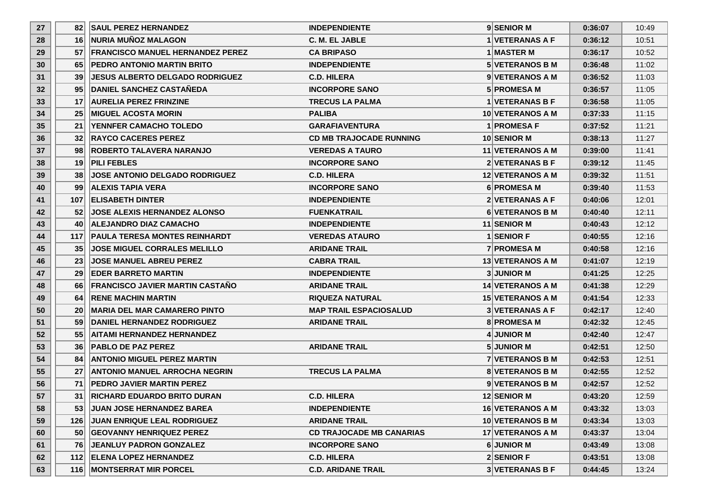| 27 | 821              | <b>SAUL PEREZ HERNANDEZ</b>            | <b>INDEPENDIENTE</b>            | 9 SENIOR M              | 0:36:07 | 10:49 |
|----|------------------|----------------------------------------|---------------------------------|-------------------------|---------|-------|
| 28 | 16               | <b>NURIA MUÑOZ MALAGON</b>             | C. M. EL JABLE                  | 1 VETERANAS A F         | 0:36:12 | 10:51 |
| 29 |                  | 57 FRANCISCO MANUEL HERNANDEZ PEREZ    | <b>CA BRIPASO</b>               | 1 MASTER M              | 0:36:17 | 10:52 |
| 30 | 651              | <b>IPEDRO ANTONIO MARTIN BRITO</b>     | <b>INDEPENDIENTE</b>            | <b>5 VETERANOS B M</b>  | 0:36:48 | 11:02 |
| 31 | 39               | <b>JESUS ALBERTO DELGADO RODRIGUEZ</b> | <b>C.D. HILERA</b>              | 9 VETERANOS A M         | 0:36:52 | 11:03 |
| 32 | 95 <sub>l</sub>  | <b>DANIEL SANCHEZ CASTAÑEDA</b>        | <b>INCORPORE SANO</b>           | <b>5 PROMESA M</b>      | 0:36:57 | 11:05 |
| 33 | 17               | <b>AURELIA PEREZ FRINZINE</b>          | <b>TRECUS LA PALMA</b>          | 1 VETERANAS B F         | 0:36:58 | 11:05 |
| 34 | 25 <sub>1</sub>  | IMIGUEL ACOSTA MORIN                   | <b>PALIBA</b>                   | <b>10 VETERANOS A M</b> | 0:37:33 | 11:15 |
| 35 | 211              | <b>YENNFER CAMACHO TOLEDO</b>          | <b>GARAFIAVENTURA</b>           | 1 PROMESA F             | 0:37:52 | 11:21 |
| 36 | 32 <sup>1</sup>  | <b>IRAYCO CACERES PEREZ</b>            | <b>CD MB TRAJOCADE RUNNING</b>  | <b>10 SENIOR M</b>      | 0:38:13 | 11:27 |
| 37 | 981              | <b>ROBERTO TALAVERA NARANJO</b>        | <b>VEREDAS A TAURO</b>          | 11 VETERANOS A M        | 0:39:00 | 11:41 |
| 38 | 191              | <b>PILI FEBLES</b>                     | <b>INCORPORE SANO</b>           | 2 VETERANAS B F         | 0:39:12 | 11:45 |
| 39 | 38               | <b>JOSE ANTONIO DELGADO RODRIGUEZ</b>  | <b>C.D. HILERA</b>              | <b>12 VETERANOS A M</b> | 0:39:32 | 11:51 |
| 40 | 99 <sub>1</sub>  | <b>ALEXIS TAPIA VERA</b>               | <b>INCORPORE SANO</b>           | 6 PROMESA M             | 0:39:40 | 11:53 |
| 41 |                  | 107 ELISABETH DINTER                   | <b>INDEPENDIENTE</b>            | <b>2 VETERANAS A F</b>  | 0:40:06 | 12:01 |
| 42 | 52 <sub>1</sub>  | <b>IJOSE ALEXIS HERNANDEZ ALONSO</b>   | <b>FUENKATRAIL</b>              | 6 VETERANOS B M         | 0:40:40 | 12:11 |
| 43 | 40               | <b>ALEJANDRO DIAZ CAMACHO</b>          | <b>INDEPENDIENTE</b>            | 11 SENIOR M             | 0:40:43 | 12:12 |
| 44 | 117 <sup>1</sup> | <b>PAULA TERESA MONTES REINHARDT</b>   | <b>VEREDAS ATAURO</b>           | 1 SENIOR F              | 0:40:55 | 12:16 |
| 45 | 35 <sup>1</sup>  | <b>JOSE MIGUEL CORRALES MELILLO</b>    | <b>ARIDANE TRAIL</b>            | <b>7 PROMESA M</b>      | 0:40:58 | 12:16 |
| 46 | 23 <sup>1</sup>  | <b>JOSE MANUEL ABREU PEREZ</b>         | <b>CABRA TRAIL</b>              | <b>13 VETERANOS A M</b> | 0:41:07 | 12:19 |
| 47 | 29               | <b>EDER BARRETO MARTIN</b>             | <b>INDEPENDIENTE</b>            | <b>3JUNIOR M</b>        | 0:41:25 | 12:25 |
| 48 | <b>66</b>        | <b>FRANCISCO JAVIER MARTIN CASTAÑO</b> | <b>ARIDANE TRAIL</b>            | <b>14 VETERANOS A M</b> | 0:41:38 | 12:29 |
| 49 | 64 I             | <b>IRENE MACHIN MARTIN</b>             | <b>RIQUEZA NATURAL</b>          | <b>15 VETERANOS A M</b> | 0:41:54 | 12:33 |
| 50 | 20 <sub>1</sub>  | <b>MARIA DEL MAR CAMARERO PINTO</b>    | <b>MAP TRAIL ESPACIOSALUD</b>   | <b>3 VETERANAS A F</b>  | 0:42:17 | 12:40 |
| 51 | 59 <sub>l</sub>  | <b>DANIEL HERNANDEZ RODRIGUEZ</b>      | <b>ARIDANE TRAIL</b>            | <b>8 PROMESA M</b>      | 0:42:32 | 12:45 |
| 52 | 55               | <b>AITAMI HERNANDEZ HERNANDEZ</b>      |                                 | 4 JUNIOR M              | 0:42:40 | 12:47 |
| 53 | 36 <sup>1</sup>  | <b>PABLO DE PAZ PEREZ</b>              | <b>ARIDANE TRAIL</b>            | <b>5 JUNIOR M</b>       | 0:42:51 | 12:50 |
| 54 | 841              | <b>ANTONIO MIGUEL PEREZ MARTIN</b>     |                                 | <b>7 VETERANOS B M</b>  | 0:42:53 | 12:51 |
| 55 | 27 <sup>1</sup>  | <b>ANTONIO MANUEL ARROCHA NEGRIN</b>   | <b>TRECUS LA PALMA</b>          | <b>8IVETERANOS B M</b>  | 0:42:55 | 12:52 |
| 56 | 71               | <b>PEDRO JAVIER MARTIN PEREZ</b>       |                                 | 9 VETERANOS B M         | 0:42:57 | 12:52 |
| 57 | 31               | <b>RICHARD EDUARDO BRITO DURAN</b>     | <b>C.D. HILERA</b>              | 12 SENIOR M             | 0:43:20 | 12:59 |
| 58 | 53               | <b>JUAN JOSE HERNANDEZ BAREA</b>       | <b>INDEPENDIENTE</b>            | 16 VETERANOS A M        | 0:43:32 | 13:03 |
| 59 | 126              | <b>JUAN ENRIQUE LEAL RODRIGUEZ</b>     | <b>ARIDANE TRAIL</b>            | 10 VETERANOS B M        | 0:43:34 | 13:03 |
| 60 | 50 <sub>l</sub>  | <b>GEOVANNY HENRIQUEZ PEREZ</b>        | <b>CD TRAJOCADE MB CANARIAS</b> | 17 VETERANOS A M        | 0:43:37 | 13:04 |
| 61 | 76               | <b>JEANLUY PADRON GONZALEZ</b>         | <b>INCORPORE SANO</b>           | 6 JUNIOR M              | 0:43:49 | 13:08 |
| 62 | 112              | <b>ELENA LOPEZ HERNANDEZ</b>           | <b>C.D. HILERA</b>              | $2$ SENIOR F            | 0:43:51 | 13:08 |
| 63 | 116              | <b>MONTSERRAT MIR PORCEL</b>           | <b>C.D. ARIDANE TRAIL</b>       | 3 VETERANAS B F         | 0:44:45 | 13:24 |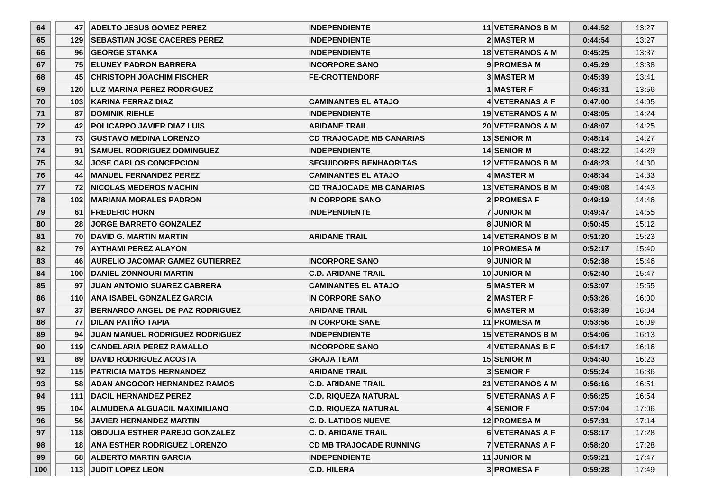| 64  | 47   | <b>ADELTO JESUS GOMEZ PEREZ</b>        | <b>INDEPENDIENTE</b>            | <b>11 VETERANOS B M</b> | 0:44:52 | 13:27 |
|-----|------|----------------------------------------|---------------------------------|-------------------------|---------|-------|
| 65  | 1291 | <b>ISEBASTIAN JOSE CACERES PEREZ</b>   | <b>INDEPENDIENTE</b>            | 2 MASTER M              | 0:44:54 | 13:27 |
| 66  | 961  | <b>GEORGE STANKA</b>                   | <b>INDEPENDIENTE</b>            | 18 VETERANOS A M        | 0:45:25 | 13:37 |
| 67  | 751  | <b>IELUNEY PADRON BARRERA</b>          | <b>INCORPORE SANO</b>           | 9 PROMESA M             | 0:45:29 | 13:38 |
| 68  | 45   | <b>CHRISTOPH JOACHIM FISCHER</b>       | <b>FE-CROTTENDORF</b>           | <b>3 MASTER M</b>       | 0:45:39 | 13:41 |
| 69  | 120  | <b>ILUZ MARINA PEREZ RODRIGUEZ</b>     |                                 | <b>1 MASTER F</b>       | 0:46:31 | 13:56 |
| 70  | 103  | KARINA FERRAZ DIAZ                     | <b>CAMINANTES EL ATAJO</b>      | 4 VETERANAS A F         | 0:47:00 | 14:05 |
| 71  | 87   | <b>IDOMINIK RIEHLE</b>                 | <b>INDEPENDIENTE</b>            | <b>19 VETERANOS A M</b> | 0:48:05 | 14:24 |
| 72  | 42   | <b>POLICARPO JAVIER DIAZ LUIS</b>      | <b>ARIDANE TRAIL</b>            | <b>20 VETERANOS A M</b> | 0:48:07 | 14:25 |
| 73  | 731  | <b>IGUSTAVO MEDINA LORENZO</b>         | <b>CD TRAJOCADE MB CANARIAS</b> | <b>13 SENIOR M</b>      | 0:48:14 | 14:27 |
| 74  | 91   | <b>ISAMUEL RODRIGUEZ DOMINGUEZ</b>     | <b>INDEPENDIENTE</b>            | 14 SENIOR M             | 0:48:22 | 14:29 |
| 75  | 34   | <b>JOSE CARLOS CONCEPCION</b>          | <b>SEGUIDORES BENHAORITAS</b>   | 12 VETERANOS B M        | 0:48:23 | 14:30 |
| 76  | 44   | <b>IMANUEL FERNANDEZ PEREZ</b>         | <b>CAMINANTES EL ATAJO</b>      | 4 MASTER M              | 0:48:34 | 14:33 |
| 77  | 721  | <b>INICOLAS MEDEROS MACHIN</b>         | <b>CD TRAJOCADE MB CANARIAS</b> | <b>13 VETERANOS B M</b> | 0:49:08 | 14:43 |
| 78  | 102  | <b>IMARIANA MORALES PADRON</b>         | IN CORPORE SANO                 | 2 PROMESA F             | 0:49:19 | 14:46 |
| 79  | 61   | <b>FREDERIC HORN</b>                   | <b>INDEPENDIENTE</b>            | <b>7 JUNIOR M</b>       | 0:49:47 | 14:55 |
| 80  | 28   | <b>JORGE BARRETO GONZALEZ</b>          |                                 | <b>8</b> JUNIOR M       | 0:50:45 | 15:12 |
| 81  | 70   | <b>IDAVID G. MARTIN MARTIN</b>         | <b>ARIDANE TRAIL</b>            | <b>14 VETERANOS B M</b> | 0:51:20 | 15:23 |
| 82  | 791  | <b>AYTHAMI PEREZ ALAYON</b>            |                                 | <b>10 PROMESA M</b>     | 0:52:17 | 15:40 |
| 83  | 461  | <b>AURELIO JACOMAR GAMEZ GUTIERREZ</b> | <b>INCORPORE SANO</b>           | 9JUNIOR M               | 0:52:38 | 15:46 |
| 84  | 100∣ | <b>DANIEL ZONNOURI MARTIN</b>          | <b>C.D. ARIDANE TRAIL</b>       | <b>10 JUNIOR M</b>      | 0:52:40 | 15:47 |
| 85  | 97   | <b>JUAN ANTONIO SUAREZ CABRERA</b>     | <b>CAMINANTES EL ATAJO</b>      | 5 MASTER M              | 0:53:07 | 15:55 |
| 86  | 110  | <b>ANA ISABEL GONZALEZ GARCIA</b>      | IN CORPORE SANO                 | <b>2IMASTER F</b>       | 0:53:26 | 16:00 |
| 87  | 37   | BERNARDO ANGEL DE PAZ RODRIGUEZ        | <b>ARIDANE TRAIL</b>            | 6 MASTER M              | 0:53:39 | 16:04 |
| 88  | 77   | <b>DILAN PATIÑO TAPIA</b>              | <b>IN CORPORE SANE</b>          | 11 PROMESA M            | 0:53:56 | 16:09 |
| 89  | 94   | <b>JUAN MANUEL RODRIGUEZ RODRIGUEZ</b> | <b>INDEPENDIENTE</b>            | <b>15 VETERANOS B M</b> | 0:54:06 | 16:13 |
| 90  | 119  | <b>CANDELARIA PEREZ RAMALLO</b>        | <b>INCORPORE SANO</b>           | 4 VETERANAS B F         | 0:54:17 | 16:16 |
| 91  | 89   | <b>DAVID RODRIGUEZ ACOSTA</b>          | <b>GRAJA TEAM</b>               | 15 SENIOR M             | 0:54:40 | 16:23 |
| 92  | 115  | <b>PATRICIA MATOS HERNANDEZ</b>        | <b>ARIDANE TRAIL</b>            | <b>3 SENIOR F</b>       | 0:55:24 | 16:36 |
| 93  | 581  | <b>ADAN ANGOCOR HERNANDEZ RAMOS</b>    | <b>C.D. ARIDANE TRAIL</b>       | 21 VETERANOS A M        | 0:56:16 | 16:51 |
| 94  | 1111 | DACIL HERNANDEZ PEREZ                  | <b>C.D. RIQUEZA NATURAL</b>     | 5 VETERANAS A F         | 0:56:25 | 16:54 |
| 95  | 104  | <b>ALMUDENA ALGUACIL MAXIMILIANO</b>   | <b>C.D. RIQUEZA NATURAL</b>     | 4 SENIOR F              | 0:57:04 | 17:06 |
| 96  | 561  | <b>JAVIER HERNANDEZ MARTIN</b>         | <b>C. D. LATIDOS NUEVE</b>      | 12 PROMESA M            | 0:57:31 | 17:14 |
| 97  |      | 118 OBDULIA ESTHER PAREJO GONZALEZ     | <b>C. D. ARIDANE TRAIL</b>      | 6 VETERANAS A F         | 0:58:17 | 17:28 |
| 98  | 18   | <b>ANA ESTHER RODRIGUEZ LORENZO</b>    | <b>CD MB TRAJOCADE RUNNING</b>  | 7 VETERANAS A F         | 0:58:20 | 17:28 |
| 99  | 681  | <b>ALBERTO MARTIN GARCIA</b>           | <b>INDEPENDIENTE</b>            | 11 JUNIOR M             | 0:59:21 | 17:47 |
| 100 | 113  | <b>JUDIT LOPEZ LEON</b>                | <b>C.D. HILERA</b>              | 3 PROMESA F             | 0:59:28 | 17:49 |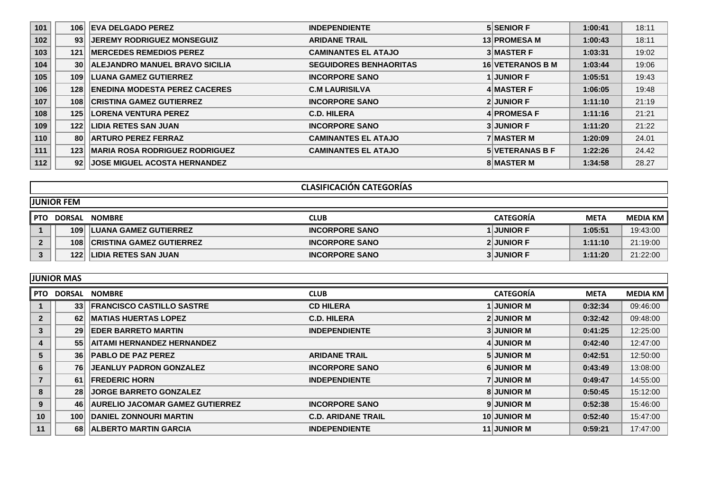| 101 | 106             | <b>EVA DELGADO PEREZ</b>              | <b>INDEPENDIENTE</b>          | <b>5 SENIOR F</b>       | 1:00:41 | 18:11 |
|-----|-----------------|---------------------------------------|-------------------------------|-------------------------|---------|-------|
| 102 | 93              | <b>IJEREMY RODRIGUEZ MONSEGUIZ</b>    | <b>ARIDANE TRAIL</b>          | <b>13 PROMESA M</b>     | 1:00:43 | 18:11 |
| 103 | 121             | <b>IMERCEDES REMEDIOS PEREZ</b>       | <b>CAMINANTES EL ATAJO</b>    | <b>3 MASTER F</b>       | 1:03:31 | 19:02 |
| 104 | 30 <sup>1</sup> | <b>ALEJANDRO MANUEL BRAVO SICILIA</b> | <b>SEGUIDORES BENHAORITAS</b> | <b>16 VETERANOS B M</b> | 1:03:44 | 19:06 |
| 105 | 109             | <b>LUANA GAMEZ GUTIERREZ</b>          | <b>INCORPORE SANO</b>         | <b>1 JUNIOR F</b>       | 1:05:51 | 19:43 |
| 106 | 128             | <b>ENEDINA MODESTA PEREZ CACERES</b>  | <b>C.M LAURISILVA</b>         | 4 MASTER F              | 1:06:05 | 19:48 |
| 107 | 108             | <b>CRISTINA GAMEZ GUTIERREZ</b>       | <b>INCORPORE SANO</b>         | <b>2 JUNIOR F</b>       | 1:11:10 | 21:19 |
| 108 | 125             | <b>LORENA VENTURA PEREZ</b>           | <b>C.D. HILERA</b>            | 4 PROMESA F             | 1:11:16 | 21:21 |
| 109 | 122             | <b>LIDIA RETES SAN JUAN</b>           | <b>INCORPORE SANO</b>         | <b>3 JUNIOR F</b>       | 1:11:20 | 21:22 |
| 110 | 80              | <b>ARTURO PEREZ FERRAZ</b>            | <b>CAMINANTES EL ATAJO</b>    | <b>7 MASTER M</b>       | 1:20:09 | 24.01 |
| 111 | 123             | <b>MARIA ROSA RODRIGUEZ RODRIGUEZ</b> | <b>CAMINANTES EL ATAJO</b>    | <b>5 VETERANAS B F</b>  | 1:22:26 | 24.42 |
| 112 | 92 <sub>1</sub> | <b>JOSE MIGUEL ACOSTA HERNANDEZ</b>   |                               | <b>8 MASTER M</b>       | 1:34:58 | 28.27 |

|              | <b>CLASIFICACIÓN CATEGORÍAS</b> |                                 |                       |                   |             |            |  |
|--------------|---------------------------------|---------------------------------|-----------------------|-------------------|-------------|------------|--|
|              | <b>JUNIOR FEM</b>               |                                 |                       |                   |             |            |  |
| <b>PTO</b>   |                                 | DORSAL NOMBRE                   | <b>CLUB</b>           | <b>CATEGORIA</b>  | <b>META</b> | MEDIA KM I |  |
|              | 109                             | <b>LUANA GAMEZ GUTIERREZ</b>    | <b>INCORPORE SANO</b> | <b>I JUNIOR F</b> | 1:05:51     | 19:43:00   |  |
| $\mathbf{2}$ | 108                             | <b>CRISTINA GAMEZ GUTIERREZ</b> | <b>INCORPORE SANO</b> | <b>2 JUNIOR F</b> | 1:11:10     | 21:19:00   |  |
|              | 122                             | <b>LIDIA RETES SAN JUAN</b>     | <b>INCORPORE SANO</b> | <b>3 JUNIOR F</b> | 1:11:20     | 21:22:00   |  |

|                | <b>JUNIOR MAS</b> |                                        |                           |                    |             |                 |  |
|----------------|-------------------|----------------------------------------|---------------------------|--------------------|-------------|-----------------|--|
| <b>PTO</b>     | DORSAL            | <b>NOMBRE</b>                          | <b>CLUB</b>               | <b>CATEGORÍA</b>   | <b>META</b> | <b>MEDIA KM</b> |  |
|                | 33 <sup>1</sup>   | <b>FRANCISCO CASTILLO SASTRE</b>       | <b>CD HILERA</b>          | <b>1 JUNIOR M</b>  | 0:32:34     | 09:46:00        |  |
| $\overline{2}$ | 62                | <b>IMATIAS HUERTAS LOPEZ</b>           | <b>C.D. HILERA</b>        | <b>2 JUNIOR M</b>  | 0:32:42     | 09:48:00        |  |
| 3              | 29                | <b>EDER BARRETO MARTIN</b>             | <b>INDEPENDIENTE</b>      | <b>3 JUNIOR M</b>  | 0:41:25     | 12:25:00        |  |
| 4              | 55                | <b>AITAMI HERNANDEZ HERNANDEZ</b>      |                           | 4 JUNIOR M         | 0:42:40     | 12:47:00        |  |
| 5              | 36 <sup>2</sup>   | <b>PABLO DE PAZ PEREZ</b>              | <b>ARIDANE TRAIL</b>      | <b>5 JUNIOR M</b>  | 0:42:51     | 12:50:00        |  |
| 6              | 76                | <b>JEANLUY PADRON GONZALEZ</b>         | <b>INCORPORE SANO</b>     | <b>6 JUNIOR M</b>  | 0:43:49     | 13:08:00        |  |
| $\overline{7}$ | 61                | <b>FREDERIC HORN</b>                   | <b>INDEPENDIENTE</b>      | <b>7 JUNIOR M</b>  | 0:49:47     | 14:55:00        |  |
| 8              | 28                | <b>JORGE BARRETO GONZALEZ</b>          |                           | <b>8 JUNIOR M</b>  | 0:50:45     | 15:12:00        |  |
| 9              | 46                | <b>AURELIO JACOMAR GAMEZ GUTIERREZ</b> | <b>INCORPORE SANO</b>     | 9 JUNIOR M         | 0:52:38     | 15:46:00        |  |
| 10             | 100               | <b>DANIEL ZONNOURI MARTIN</b>          | <b>C.D. ARIDANE TRAIL</b> | 10 JUNIOR M        | 0:52:40     | 15:47:00        |  |
| 11             | 68                | <b>ALBERTO MARTIN GARCIA</b>           | <b>INDEPENDIENTE</b>      | <b>11 JUNIOR M</b> | 0:59:21     | 17:47:00        |  |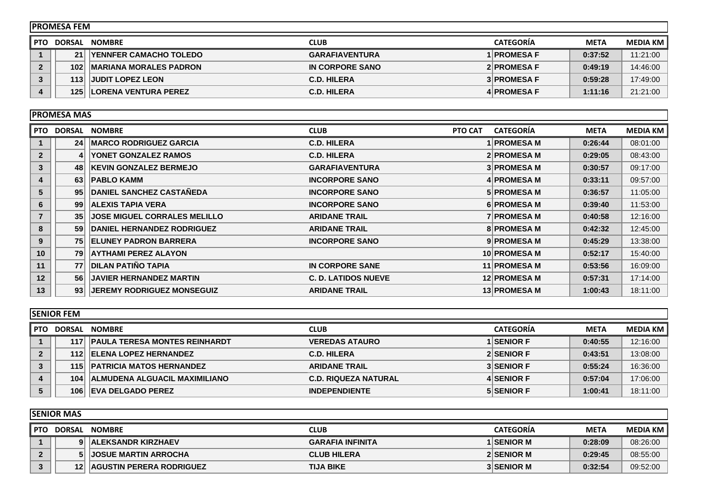| IPROMESA FEM |     |                                |                       |                    |             |            |
|--------------|-----|--------------------------------|-----------------------|--------------------|-------------|------------|
| <b>PTO</b>   |     | DORSAL NOMBRE                  | <b>CLUB</b>           | <b>CATEGORIA</b>   | <b>META</b> | MEDIA KM I |
|              | 21  | <b>IYENNFER CAMACHO TOLEDO</b> | <b>GARAFIAVENTURA</b> | 1 PROMESA F        | 0:37:52     | 11:21:00   |
| 2            | 102 | <b>IMARIANA MORALES PADRON</b> | IN CORPORE SANO       | 2 PROMESA F        | 0:49:19     | 14:46:00   |
|              | 113 | <b>HJUDIT LOPEZ LEON</b>       | <b>C.D. HILERA</b>    | <b>3 PROMESA F</b> | 0:59:28     | 17:49:00   |
|              | 125 | <b>LORENA VENTURA PEREZ</b>    | <b>C.D. HILERA</b>    | 4 PROMESA F        | 1:11:16     | 21:21:00   |

|                | <b>PROMESA MAS</b> |                                     |                            |                     |             |                 |
|----------------|--------------------|-------------------------------------|----------------------------|---------------------|-------------|-----------------|
| PTO.           | <b>DORSAL</b>      | <b>NOMBRE</b>                       | PTO CAT<br><b>CLUB</b>     | <b>CATEGORIA</b>    | <b>META</b> | <b>MEDIA KM</b> |
|                | 24 <sup>1</sup>    | <b>IMARCO RODRIGUEZ GARCIA</b>      | <b>C.D. HILERA</b>         | <b>1 PROMESA M</b>  | 0:26:44     | 08:01:00        |
| $\overline{2}$ |                    | YONET GONZALEZ RAMOS                | <b>C.D. HILERA</b>         | 2 PROMESA M         | 0:29:05     | 08:43:00        |
| 3              | 48                 | <b>KEVIN GONZALEZ BERMEJO</b>       | <b>GARAFIAVENTURA</b>      | <b>3 PROMESA M</b>  | 0:30:57     | 09:17:00        |
| 4              | 63                 | <b>PABLO KAMM</b>                   | <b>INCORPORE SANO</b>      | 4 PROMESA M         | 0:33:11     | 09:57:00        |
| 5              | 95                 | <b>DANIEL SANCHEZ CASTAÑEDA</b>     | <b>INCORPORE SANO</b>      | <b>5 PROMESA M</b>  | 0:36:57     | 11:05:00        |
| 6              | 99                 | <b>ALEXIS TAPIA VERA</b>            | <b>INCORPORE SANO</b>      | 6 PROMESA M         | 0:39:40     | 11:53:00        |
| $\overline{7}$ | 35                 | <b>JOSE MIGUEL CORRALES MELILLO</b> | <b>ARIDANE TRAIL</b>       | <b>7 PROMESA M</b>  | 0:40:58     | 12:16:00        |
| 8              | 59                 | <b>DANIEL HERNANDEZ RODRIGUEZ</b>   | <b>ARIDANE TRAIL</b>       | <b>8 PROMESA M</b>  | 0:42:32     | 12:45:00        |
| 9              | 75                 | <b>ELUNEY PADRON BARRERA</b>        | <b>INCORPORE SANO</b>      | 9 PROMESA M         | 0:45:29     | 13:38:00        |
| 10             | 79                 | <b>AYTHAMI PEREZ ALAYON</b>         |                            | 10 PROMESA M        | 0:52:17     | 15:40:00        |
| 11             | 77                 | <b>DILAN PATIÑO TAPIA</b>           | <b>IN CORPORE SANE</b>     | 11 PROMESA M        | 0:53:56     | 16:09:00        |
| 12             | 56                 | <b>JAVIER HERNANDEZ MARTIN</b>      | <b>C. D. LATIDOS NUEVE</b> | 12 PROMESA M        | 0:57:31     | 17:14:00        |
| 13             | 93                 | <b>JEREMY RODRIGUEZ MONSEGUIZ</b>   | <b>ARIDANE TRAIL</b>       | <b>13 PROMESA M</b> | 1:00:43     | 18:11:00        |

|              | <b>ISENIOR FEM</b> |                                      |                             |                   |             |                 |  |
|--------------|--------------------|--------------------------------------|-----------------------------|-------------------|-------------|-----------------|--|
| l PTO        | <b>DORSAL</b>      | <b>NOMBRE</b>                        | <b>CLUB</b>                 | <b>CATEGORIA</b>  | <b>META</b> | <b>MEDIA KM</b> |  |
|              |                    | 117 PAULA TERESA MONTES REINHARDT    | <b>VEREDAS ATAURO</b>       | <b>1 SENIOR F</b> | 0:40:55     | 12:16:00        |  |
| $\mathbf{2}$ |                    | 112 ELENA LOPEZ HERNANDEZ            | <b>C.D. HILERA</b>          | 2 SENIOR F        | 0:43:51     | 13:08:00        |  |
| 3            |                    | <b>115 PATRICIA MATOS HERNANDEZ</b>  | <b>ARIDANE TRAIL</b>        | <b>3 SENIOR F</b> | 0:55:24     | 16:36:00        |  |
| 4            | 104                | <b>ALMUDENA ALGUACIL MAXIMILIANO</b> | <b>C.D. RIQUEZA NATURAL</b> | 4 SENIOR F        | 0:57:04     | 17:06:00        |  |
|              | 106                | <b>LEVA DELGADO PEREZ</b>            | <b>INDEPENDIENTE</b>        | <b>5 SENIOR F</b> | 1:00:41     | 18:11:00        |  |

|        | <b>ISENIOR MAS</b> |                                    |                         |                   |             |                 |  |
|--------|--------------------|------------------------------------|-------------------------|-------------------|-------------|-----------------|--|
| l PTO. | <b>DORSAL</b>      | <b>NOMBRE</b>                      | CLUB                    | <b>CATEGORIA</b>  | <b>META</b> | <b>MEDIA KM</b> |  |
|        | $\mathbf{Q}$       | <b>ALEKSANDR KIRZHAEV</b>          | <b>GARAFIA INFINITA</b> | <b>1 SENIOR M</b> | 0:28:09     | 08:26:00        |  |
|        |                    | <b>JOSUE MARTIN ARROCHA</b>        | <b>CLUB HILERA</b>      | 2 SENIOR M        | 0:29:45     | 08:55:00        |  |
|        |                    | <b>12 AGUSTIN PERERA RODRIGUEZ</b> | <b>TIJA BIKE</b>        | <b>3 SENIOR M</b> | 0:32:54     | 09:52:00        |  |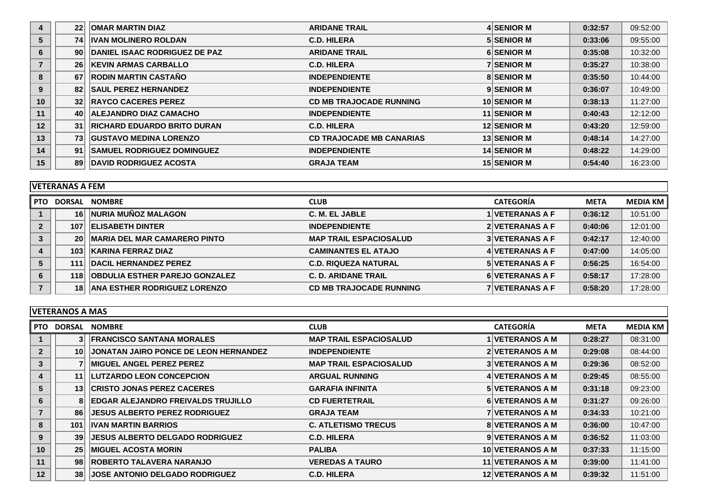| 4  | 22 <sup>1</sup> | <b>OMAR MARTIN DIAZ</b>            | <b>ARIDANE TRAIL</b>            | 4 SENIOR M         | 0:32:57 | 09:52:00 |
|----|-----------------|------------------------------------|---------------------------------|--------------------|---------|----------|
| 5  | 74              | <b>IVAN MOLINERO ROLDAN</b>        | <b>C.D. HILERA</b>              | 5 SENIOR M         | 0:33:06 | 09:55:00 |
| 6  | 90 <sub>1</sub> | DANIEL ISAAC RODRIGUEZ DE PAZ      | <b>ARIDANE TRAIL</b>            | <b>6 SENIOR M</b>  | 0:35:08 | 10:32:00 |
|    | 26              | <b>KEVIN ARMAS CARBALLO</b>        | <b>C.D. HILERA</b>              | <b>7 SENIOR M</b>  | 0:35:27 | 10:38:00 |
| 8  | 67              | <b>RODIN MARTIN CASTAÑO</b>        | <b>INDEPENDIENTE</b>            | <b>8 SENIOR M</b>  | 0:35:50 | 10:44:00 |
| 9  | 82              | <b>SAUL PEREZ HERNANDEZ</b>        | <b>INDEPENDIENTE</b>            | 9 SENIOR M         | 0:36:07 | 10:49:00 |
| 10 | 32              | <b>RAYCO CACERES PEREZ</b>         | <b>CD MB TRAJOCADE RUNNING</b>  | 10 SENIOR M        | 0:38:13 | 11:27:00 |
| 11 | 40              | <b>ALEJANDRO DIAZ CAMACHO</b>      | <b>INDEPENDIENTE</b>            | <b>11 SENIOR M</b> | 0:40:43 | 12:12:00 |
| 12 | 31              | <b>RICHARD EDUARDO BRITO DURAN</b> | <b>C.D. HILERA</b>              | 12 SENIOR M        | 0:43:20 | 12:59:00 |
| 13 | 73              | <b>GUSTAVO MEDINA LORENZO</b>      | <b>CD TRAJOCADE MB CANARIAS</b> | <b>13 SENIOR M</b> | 0:48:14 | 14:27:00 |
| 14 | 91              | <b>SAMUEL RODRIGUEZ DOMINGUEZ</b>  | <b>INDEPENDIENTE</b>            | <b>14 SENIOR M</b> | 0:48:22 | 14:29:00 |
| 15 | 89              | <b>DAVID RODRIGUEZ ACOSTA</b>      | <b>GRAJA TEAM</b>               | <b>15 SENIOR M</b> | 0:54:40 | 16:23:00 |

| <b>VETERANAS A FEM</b> |
|------------------------|
|------------------------|

|                | $V$ LILIVAIVAJA ILIVI |                                       |                                |                        |             |                 |  |  |
|----------------|-----------------------|---------------------------------------|--------------------------------|------------------------|-------------|-----------------|--|--|
| <b>PTO</b>     | DORSAL                | <b>NOMBRE</b>                         | <b>CLUB</b>                    | <b>CATEGORIA</b>       | <b>META</b> | <b>MEDIA KM</b> |  |  |
|                | 16 I                  | NURIA MUÑOZ MALAGON                   | C. M. EL JABLE                 | 1   VETERANAS A F      | 0:36:12     | 10:51:00        |  |  |
| $\overline{2}$ | 107                   | <b>ELISABETH DINTER</b>               | <b>INDEPENDIENTE</b>           | 2 VETERANAS A F        | 0:40:06     | 12:01:00        |  |  |
| 3              | 20 <sup>1</sup>       | <b>MARIA DEL MAR CAMARERO PINTO</b>   | <b>MAP TRAIL ESPACIOSALUD</b>  | <b>3 VETERANAS A F</b> | 0:42:17     | 12:40:00        |  |  |
|                | 103                   | KARINA FERRAZ DIAZ                    | <b>CAMINANTES EL ATAJO</b>     | 4 VETERANAS A F        | 0:47:00     | 14:05:00        |  |  |
| 5              | 111                   | <b>DACIL HERNANDEZ PEREZ</b>          | <b>C.D. RIQUEZA NATURAL</b>    | <b>5 VETERANAS A F</b> | 0:56:25     | 16:54:00        |  |  |
| 6              | 118                   | <b>OBDULIA ESTHER PAREJO GONZALEZ</b> | <b>C. D. ARIDANE TRAIL</b>     | 6 VETERANAS A F        | 0:58:17     | 17:28:00        |  |  |
|                | 181                   | <b>ANA ESTHER RODRIGUEZ LORENZO</b>   | <b>CD MB TRAJOCADE RUNNING</b> | <b>7 VETERANAS A F</b> | 0:58:20     | 17:28:00        |  |  |

|                | <b>IVETERANOS A MAS</b> |                                              |                               |                         |             |                 |  |  |
|----------------|-------------------------|----------------------------------------------|-------------------------------|-------------------------|-------------|-----------------|--|--|
|                | <b>IPTO DORSAL</b>      | <b>NOMBRE</b>                                | <b>CLUB</b>                   | <b>CATEGORÍA</b>        | <b>META</b> | <b>MEDIA KM</b> |  |  |
|                | 31                      | <b>FRANCISCO SANTANA MORALES</b>             | <b>MAP TRAIL ESPACIOSALUD</b> | <b>VETERANOS A M</b>    | 0:28:27     | 08:31:00        |  |  |
| $\overline{2}$ | 10 <sup>1</sup>         | <b>JONATAN JAIRO PONCE DE LEON HERNANDEZ</b> | <b>INDEPENDIENTE</b>          | 2 VETERANOS A M         | 0:29:08     | 08:44:00        |  |  |
| 3              |                         | <b>IMIGUEL ANGEL PEREZ PEREZ</b>             | <b>MAP TRAIL ESPACIOSALUD</b> | <b>3 VETERANOS A M</b>  | 0:29:36     | 08:52:00        |  |  |
|                | 11                      | <b>LUTZARDO LEON CONCEPCION</b>              | <b>ARGUAL RUNNING</b>         | 4 VETERANOS A M         | 0:29:45     | 08:55:00        |  |  |
| 5              | 13                      | <b>CRISTO JONAS PEREZ CACERES</b>            | <b>GARAFIA INFINITA</b>       | <b>5 VETERANOS A M</b>  | 0:31:18     | 09:23:00        |  |  |
| 6              |                         | <b>EDGAR ALEJANDRO FREIVALDS TRUJILLO</b>    | <b>CD FUERTETRAIL</b>         | 6 VETERANOS A M         | 0:31:27     | 09:26:00        |  |  |
|                | 86                      | <b>IJESUS ALBERTO PEREZ RODRIGUEZ</b>        | <b>GRAJA TEAM</b>             | <b>7 VETERANOS A M</b>  | 0:34:33     | 10:21:00        |  |  |
| 8              | 101                     | <b>IIVAN MARTIN BARRIOS</b>                  | <b>C. ATLETISMO TRECUS</b>    | <b>8 VETERANOS A M</b>  | 0:36:00     | 10:47:00        |  |  |
| 9              | 39                      | <b>JESUS ALBERTO DELGADO RODRIGUEZ</b>       | <b>C.D. HILERA</b>            | 9 VETERANOS A M         | 0:36:52     | 11:03:00        |  |  |
| 10             | 25                      | ∣MIGUEL ACOSTA MORIN                         | <b>PALIBA</b>                 | <b>10 VETERANOS A M</b> | 0:37:33     | 11:15:00        |  |  |
| 11             | 98                      | <b>ROBERTO TALAVERA NARANJO</b>              | <b>VEREDAS A TAURO</b>        | <b>11 VETERANOS A M</b> | 0:39:00     | 11:41:00        |  |  |
| 12             | 38                      | <b>JOSE ANTONIO DELGADO RODRIGUEZ</b>        | <b>C.D. HILERA</b>            | <b>12 VETERANOS A M</b> | 0:39:32     | 11:51:00        |  |  |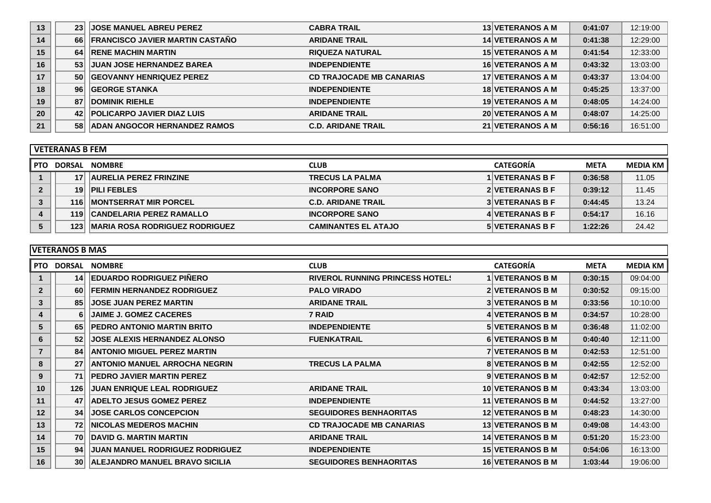| 13 | 23 <sup>1</sup> | <b>JOSE MANUEL ABREU PEREZ</b>         | <b>CABRA TRAIL</b>              | 13 VETERANOS A M        | 0:41:07 | 12:19:00 |
|----|-----------------|----------------------------------------|---------------------------------|-------------------------|---------|----------|
| 14 | 66 l            | <b>FRANCISCO JAVIER MARTIN CASTAÑO</b> | <b>ARIDANE TRAIL</b>            | <b>14 VETERANOS A M</b> | 0:41:38 | 12:29:00 |
| 15 | 64              | <b>RENE MACHIN MARTIN</b>              | <b>RIQUEZA NATURAL</b>          | <b>15 VETERANOS A M</b> | 0:41:54 | 12:33:00 |
| 16 | 53              | <b>JUAN JOSE HERNANDEZ BAREA</b>       | <b>INDEPENDIENTE</b>            | <b>16 VETERANOS A M</b> | 0:43:32 | 13:03:00 |
| 17 | 50 <sub>l</sub> | <b>GEOVANNY HENRIQUEZ PEREZ</b>        | <b>CD TRAJOCADE MB CANARIAS</b> | 17 VETERANOS A M        | 0:43:37 | 13:04:00 |
| 18 | 96 <sup>1</sup> | <b>GEORGE STANKA</b>                   | <b>INDEPENDIENTE</b>            | <b>18 VETERANOS A M</b> | 0:45:25 | 13:37:00 |
| 19 | 87              | <b>DOMINIK RIEHLE</b>                  | <b>INDEPENDIENTE</b>            | <b>19 VETERANOS A M</b> | 0:48:05 | 14:24:00 |
| 20 | 42              | <b>POLICARPO JAVIER DIAZ LUIS</b>      | <b>ARIDANE TRAIL</b>            | <b>20 VETERANOS A M</b> | 0:48:07 | 14:25:00 |
| 21 | 58              | <b>ADAN ANGOCOR HERNANDEZ RAMOS</b>    | <b>C.D. ARIDANE TRAIL</b>       | 21 VETERANOS A M        | 0:56:16 | 16:51:00 |

|        | l VETERANAS B FEM |                                        |                            |                         |             |            |  |  |
|--------|-------------------|----------------------------------------|----------------------------|-------------------------|-------------|------------|--|--|
| l PTO. | DORSAL            | <b>NOMBRE</b>                          | <b>CLUB</b>                | <b>CATEGORÍA</b>        | <b>META</b> | MEDIA KM I |  |  |
|        |                   | <b>AURELIA PEREZ FRINZINE</b>          | <b>TRECUS LA PALMA</b>     | <b>I IVETERANAS B F</b> | 0:36:58     | 11.05      |  |  |
|        | 19                | <b>PILI FEBLES</b>                     | <b>INCORPORE SANO</b>      | 2 VETERANAS B F         | 0:39:12     | 11.45      |  |  |
|        | 116               | <b>IMONTSERRAT MIR PORCEL</b>          | <b>C.D. ARIDANE TRAIL</b>  | <b>3 VETERANAS B F</b>  | 0:44:45     | 13.24      |  |  |
|        | 1191              | <b>CANDELARIA PEREZ RAMALLO</b>        | <b>INCORPORE SANO</b>      | 4 VETERANAS B F         | 0:54:17     | 16.16      |  |  |
|        | 123 <sub>1</sub>  | <b>IMARIA ROSA RODRIGUEZ RODRIGUEZ</b> | <b>CAMINANTES EL ATAJO</b> | <b>5 VETERANAS B F</b>  | 1:22:26     | 24.42      |  |  |

## **VETERANOS B MAS**

| <b>PTO</b>     | <b>DORSAL</b>   | <b>NOMBRE</b>                          | <b>CLUB</b>                            | <b>CATEGORÍA</b>        | <b>META</b> | <b>MEDIA KM</b> |
|----------------|-----------------|----------------------------------------|----------------------------------------|-------------------------|-------------|-----------------|
|                | 14              | <b>EDUARDO RODRIGUEZ PIÑERO</b>        | <b>RIVEROL RUNNING PRINCESS HOTEL!</b> | <b>VETERANOS B M</b>    | 0:30:15     | 09:04:00        |
| $\overline{2}$ | 60 <sub>1</sub> | <b>FERMIN HERNANDEZ RODRIGUEZ</b>      | <b>PALO VIRADO</b>                     | <b>2 VETERANOS B M</b>  | 0:30:52     | 09:15:00        |
| 3              | 85              | <b>JOSE JUAN PEREZ MARTIN</b>          | <b>ARIDANE TRAIL</b>                   | <b>3 VETERANOS B M</b>  | 0:33:56     | 10:10:00        |
| 4              |                 | <b>JAIME J. GOMEZ CACERES</b>          | 7 RAID                                 | 4 VETERANOS B M         | 0:34:57     | 10:28:00        |
| 5              | 65              | <b>PEDRO ANTONIO MARTIN BRITO</b>      | <b>INDEPENDIENTE</b>                   | <b>5 VETERANOS B M</b>  | 0:36:48     | 11:02:00        |
| 6              | 52              | <b>JOSE ALEXIS HERNANDEZ ALONSO</b>    | <b>FUENKATRAIL</b>                     | 6 VETERANOS B M         | 0:40:40     | 12:11:00        |
| $\overline{7}$ | 84              | <b>ANTONIO MIGUEL PEREZ MARTIN</b>     |                                        | <b>7 VETERANOS B M</b>  | 0:42:53     | 12:51:00        |
| 8              | 27              | <b>ANTONIO MANUEL ARROCHA NEGRIN</b>   | <b>TRECUS LA PALMA</b>                 | <b>8 VETERANOS B M</b>  | 0:42:55     | 12:52:00        |
| 9              | 71              | <b>PEDRO JAVIER MARTIN PEREZ</b>       |                                        | 9 VETERANOS B M         | 0:42:57     | 12:52:00        |
| 10             | 126             | <b>JUAN ENRIQUE LEAL RODRIGUEZ</b>     | <b>ARIDANE TRAIL</b>                   | 10 VETERANOS B M        | 0:43:34     | 13:03:00        |
| 11             | 47              | <b>ADELTO JESUS GOMEZ PEREZ</b>        | <b>INDEPENDIENTE</b>                   | <b>11 VETERANOS B M</b> | 0:44:52     | 13:27:00        |
| 12             | 34              | <b>JOSE CARLOS CONCEPCION</b>          | <b>SEGUIDORES BENHAORITAS</b>          | <b>12 VETERANOS B M</b> | 0:48:23     | 14:30:00        |
| 13             | 72              | <b>INICOLAS MEDEROS MACHIN</b>         | <b>CD TRAJOCADE MB CANARIAS</b>        | <b>13 VETERANOS B M</b> | 0:49:08     | 14:43:00        |
| 14             | 70              | <b>DAVID G. MARTIN MARTIN</b>          | <b>ARIDANE TRAIL</b>                   | <b>14 VETERANOS B M</b> | 0:51:20     | 15:23:00        |
| 15             | 94              | <b>JUAN MANUEL RODRIGUEZ RODRIGUEZ</b> | <b>INDEPENDIENTE</b>                   | <b>15 VETERANOS B M</b> | 0:54:06     | 16:13:00        |
| 16             | 30 <sub>l</sub> | <b>ALEJANDRO MANUEL BRAVO SICILIA</b>  | <b>SEGUIDORES BENHAORITAS</b>          | 16 VETERANOS B M        | 1:03:44     | 19:06:00        |